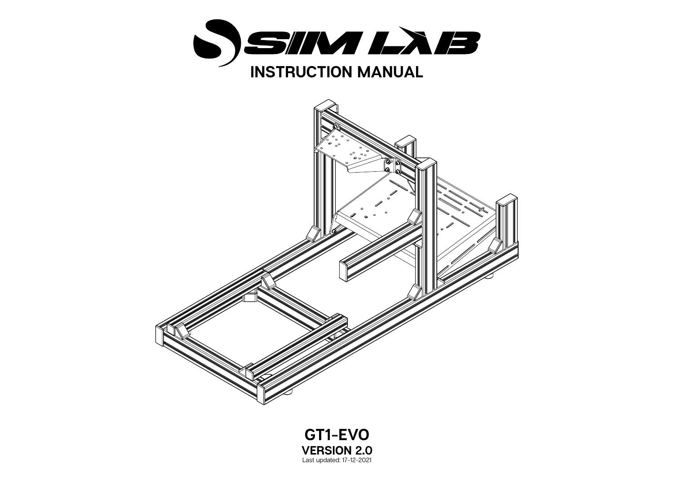



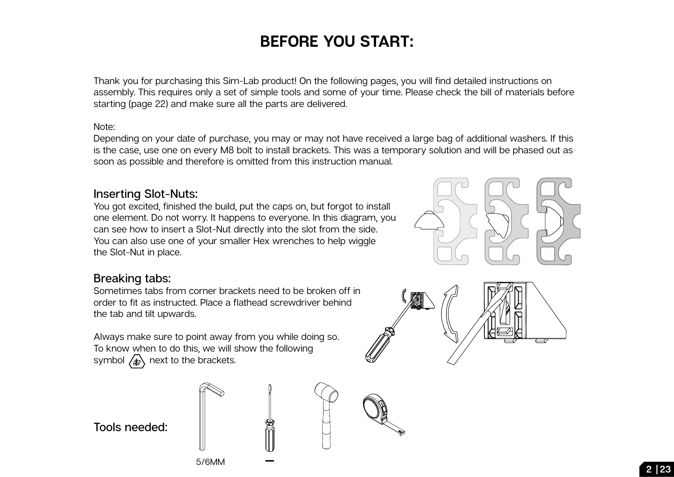## **BEFORE YOU START:**

Thank you for purchasing this Sim-Lab product! On the following pages, you will find detailed instructions on assembly. This requires only a set of simple tools and some of your time. Please check the bill of materials before starting (page 22) and make sure all the parts are delivered.

## Note:

Depending on your date of purchase, you may or may not have received a large bag of additional washers. If this is the case, use one on every M8 bolt to install brackets. This was a temporary solution and will be phased out as soon as possible and therefore is omitted from this instruction manual.

## **Inserting Slot-Nuts:**

You got excited, finished the build, put the caps on, but forgot to install one element. Do not worry. It happens to everyone. In this diagram, you can see how to insert a Slot-Nut directly into the slot from the side. You can also use one of your smaller Hex wrenches to help wiggle the Slot-Nut in place.

## **Breaking tabs:**

Sometimes tabs from corner brackets need to be broken off in order to fit as instructed. Place a flathead screwdriver behind the tab and tilt upwards.

Always make sure to point away from you while doing so. To know when to do this, we will show the following symbol  $\sqrt{\frac{1}{20}}$  next to the brackets.

**Tools needed:**







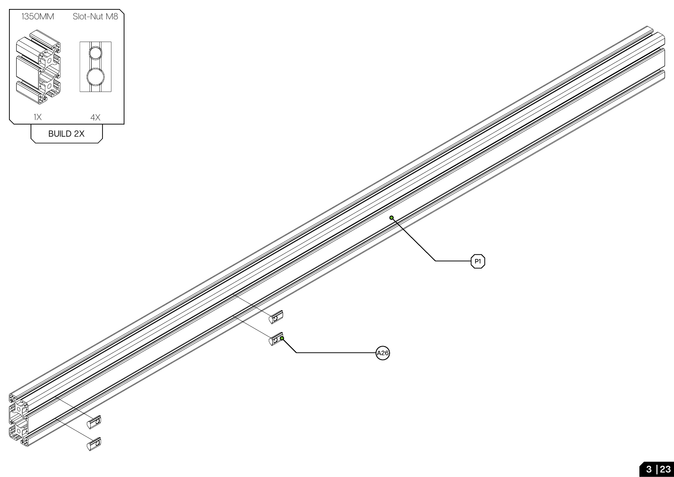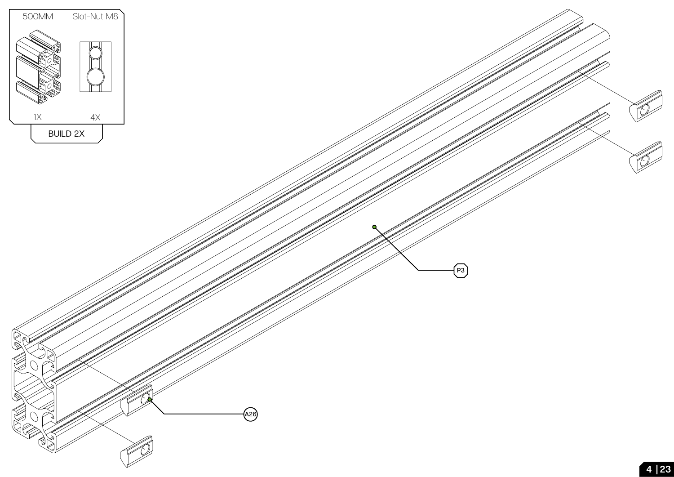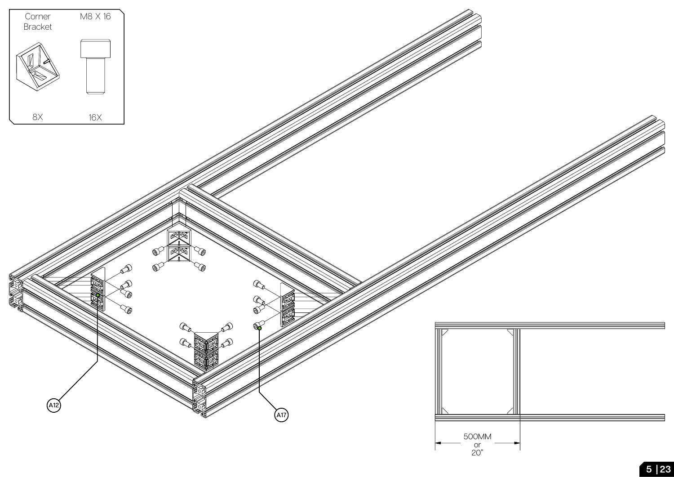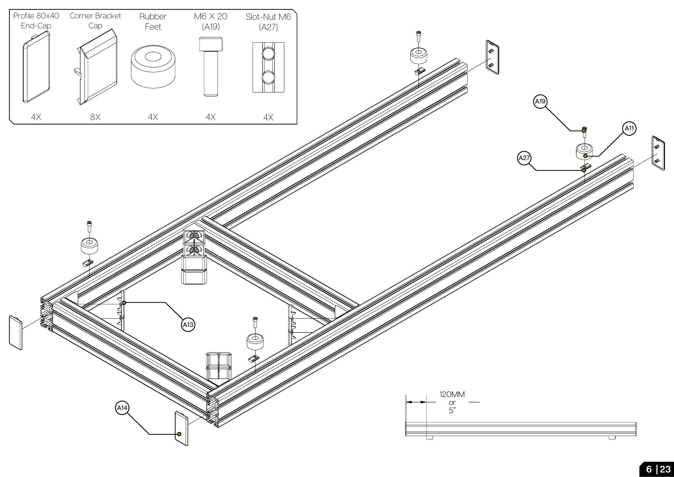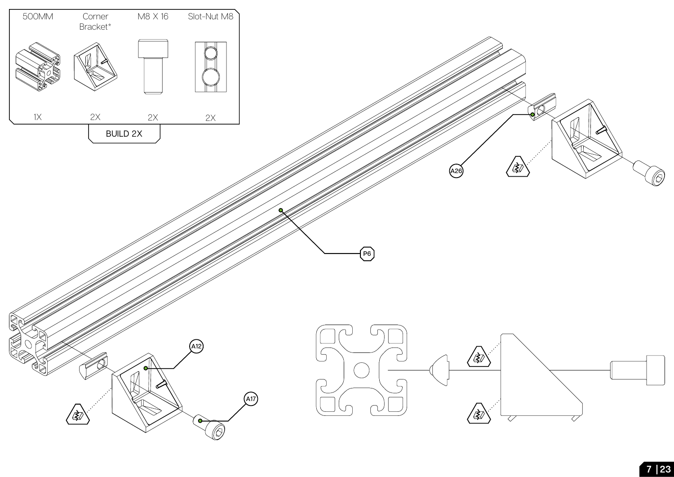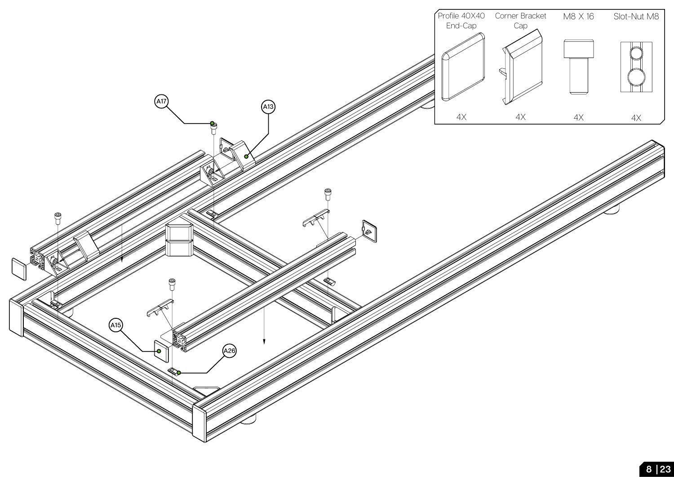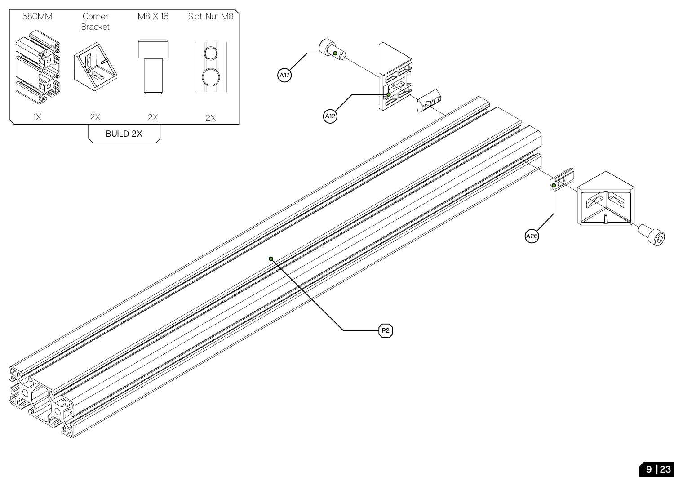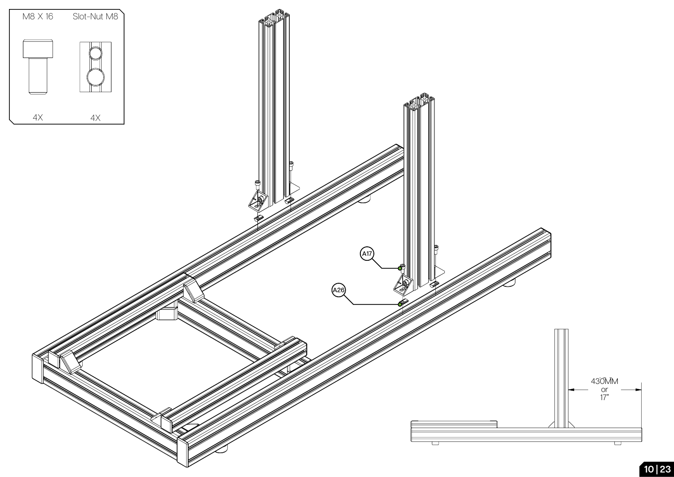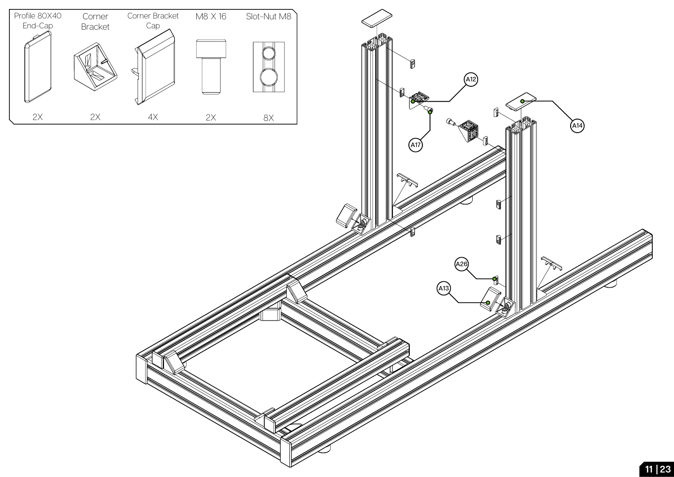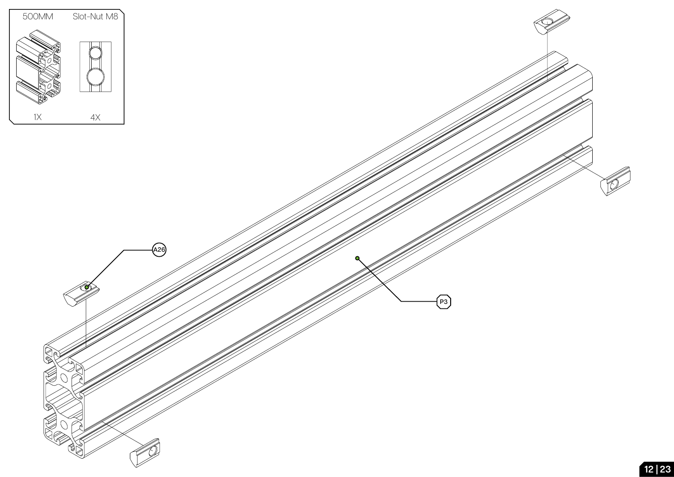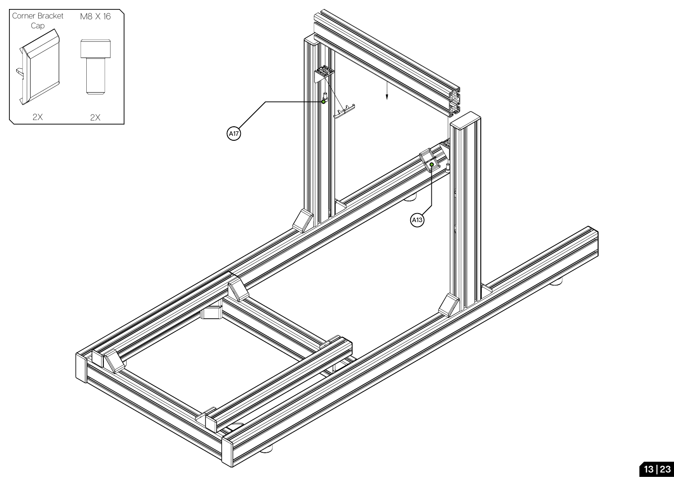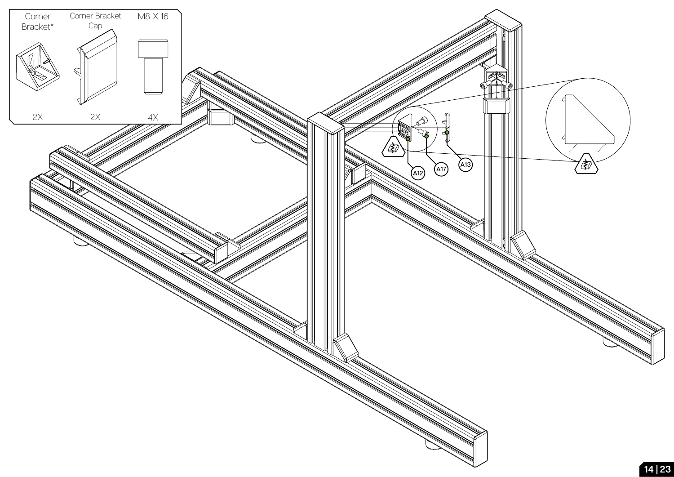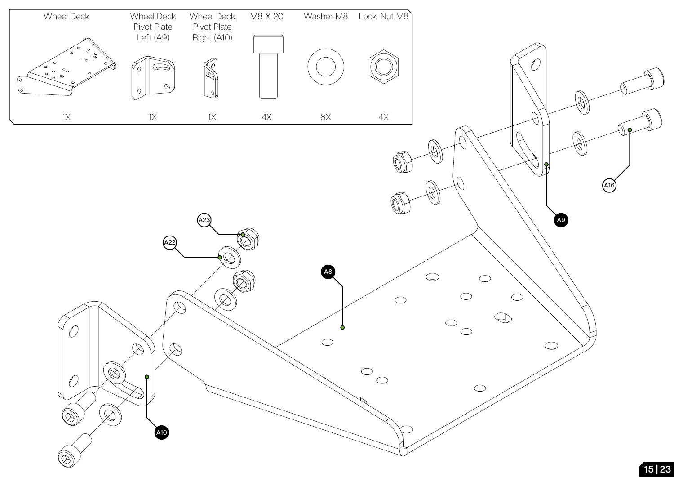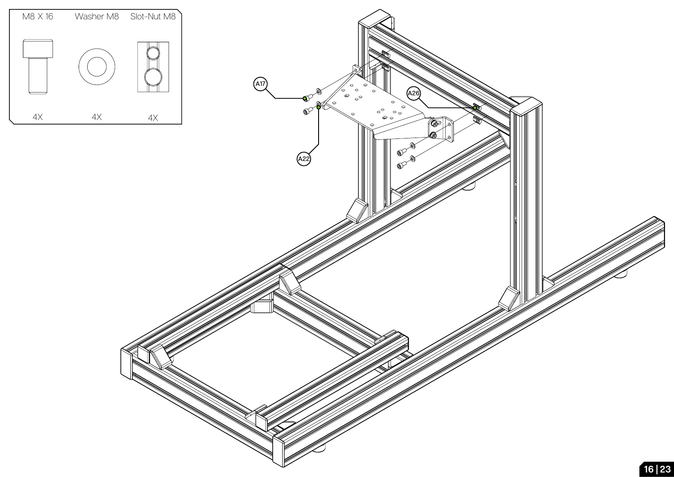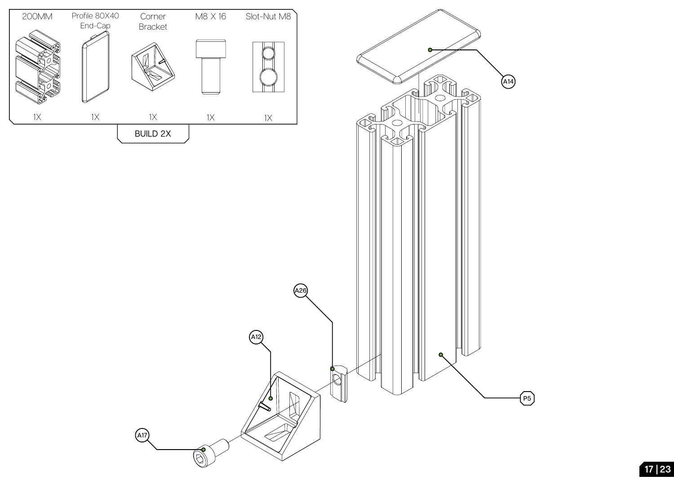

**P5**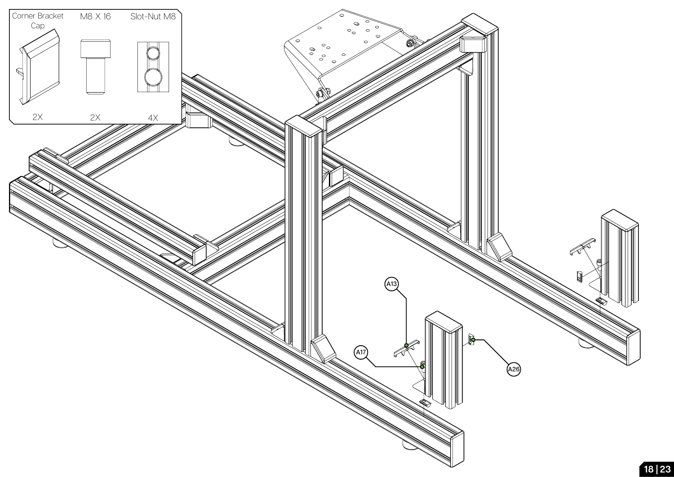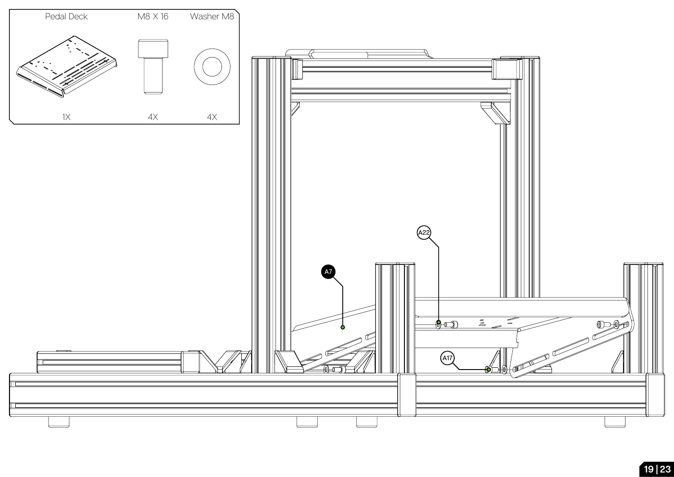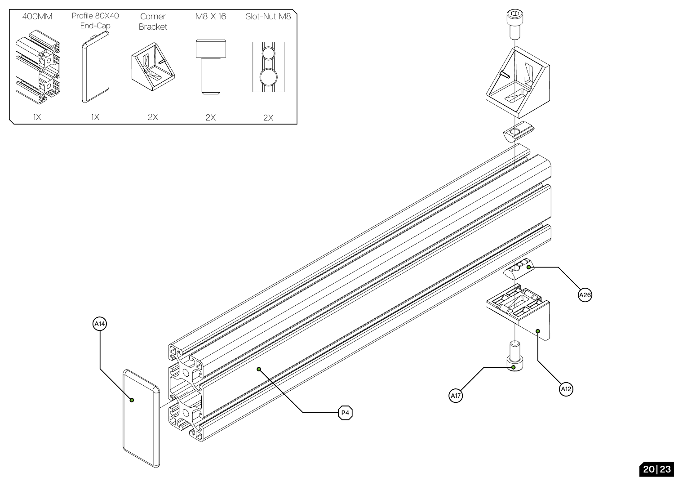

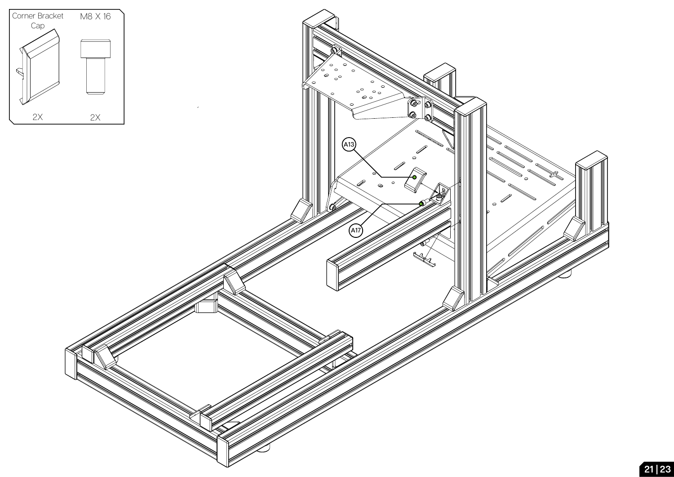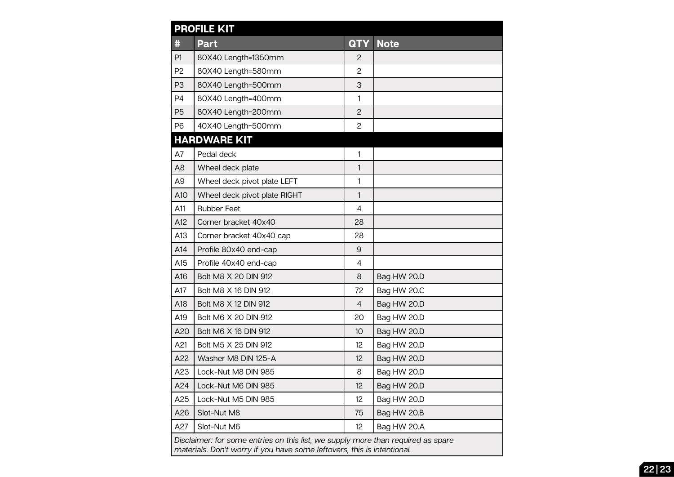| <b>PROFILE KIT</b>                                                                                                                                          |                              |                |             |
|-------------------------------------------------------------------------------------------------------------------------------------------------------------|------------------------------|----------------|-------------|
| #                                                                                                                                                           | Part                         | <b>QTY</b>     | <b>Note</b> |
| P1                                                                                                                                                          | 80X40 Length=1350mm          | $\overline{c}$ |             |
| P <sub>2</sub>                                                                                                                                              | 80X40 Length=580mm           | 2              |             |
| P <sub>3</sub>                                                                                                                                              | 80X40 Length=500mm           | 3              |             |
| P <sub>4</sub>                                                                                                                                              | 80X40 Length=400mm           | 1              |             |
| P <sub>5</sub>                                                                                                                                              | 80X40 Length=200mm           | $\mathbf{2}$   |             |
| P <sub>6</sub>                                                                                                                                              | 40X40 Length=500mm           | $\overline{c}$ |             |
| <b>HARDWARE KIT</b>                                                                                                                                         |                              |                |             |
| A7                                                                                                                                                          | Pedal deck                   | 1              |             |
| A <sub>8</sub>                                                                                                                                              | Wheel deck plate             | $\mathbf{1}$   |             |
| A <sub>9</sub>                                                                                                                                              | Wheel deck pivot plate LEFT  | $\mathbf{1}$   |             |
| A10                                                                                                                                                         | Wheel deck pivot plate RIGHT | 1              |             |
| A11                                                                                                                                                         | <b>Rubber Feet</b>           | $\overline{4}$ |             |
| A12                                                                                                                                                         | Corner bracket 40x40         | 28             |             |
| A13                                                                                                                                                         | Corner bracket 40x40 cap     | 28             |             |
| A14                                                                                                                                                         | Profile 80x40 end-cap        | $\mathsf g$    |             |
| A15                                                                                                                                                         | Profile 40x40 end-cap        | 4              |             |
| A16                                                                                                                                                         | Bolt M8 X 20 DIN 912         | 8              | Bag HW 20.D |
| A17                                                                                                                                                         | Bolt M8 X 16 DIN 912         | 72             | Bag HW 20.C |
| A18                                                                                                                                                         | Bolt M8 X 12 DIN 912         | 4              | Bag HW 20.D |
| A19                                                                                                                                                         | Bolt M6 X 20 DIN 912         | 20             | Bag HW 20.D |
| A20                                                                                                                                                         | Bolt M6 X 16 DIN 912         | 10             | Bag HW 20.D |
| A21                                                                                                                                                         | Bolt M5 X 25 DIN 912         | 12             | Bag HW 20.D |
| A22                                                                                                                                                         | Washer M8 DIN 125-A          | 12             | Bag HW 20.D |
| A23                                                                                                                                                         | Lock-Nut M8 DIN 985          | 8              | Bag HW 20.D |
| A24                                                                                                                                                         | Lock-Nut M6 DIN 985          | 12             | Bag HW 20.D |
| A25                                                                                                                                                         | Lock-Nut M5 DIN 985          | 12             | Bag HW 20.D |
| A26                                                                                                                                                         | Slot-Nut M8                  | 75             | Bag HW 20.B |
| A27                                                                                                                                                         | Slot-Nut M6                  | 12             | Bag HW 20.A |
| Disclaimer: for some entries on this list, we supply more than required as spare<br>materials. Don't worry if you have some leftovers, this is intentional. |                              |                |             |